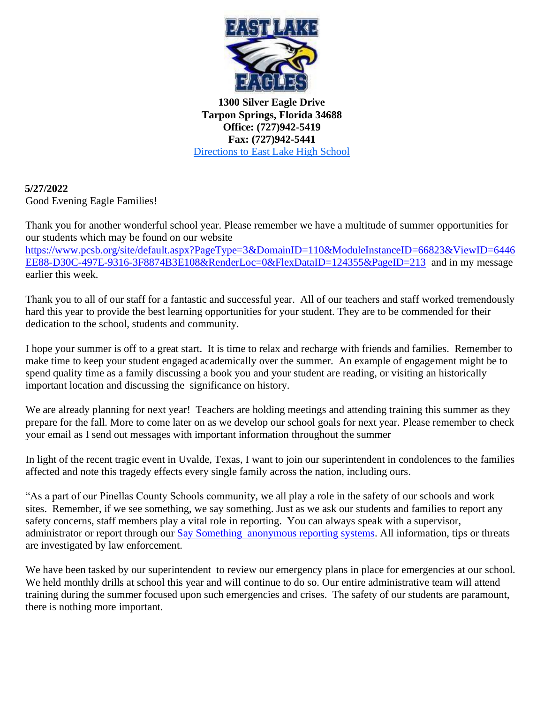

**1300 Silver Eagle Drive Tarpon Springs, Florida 34688 Office: (727)942-5419 Fax: (727)942-5441**  [Directions to East Lake High School](http://www.mapquest.com/maps?city=Tarpon+Springs&state=FL&address=1300+Silver+Eagle+Dr&zipcode=34688-9101&country=US&latitude=28.13028&longitude=-82.69961&geocode=ADDRESS)

**5/27/2022**  Good Evening Eagle Families!

Thank you for another wonderful school year. Please remember we have a multitude of summer opportunities for our students which may be found on our website

[https://www.pcsb.org/site/default.aspx?PageType=3&DomainID=110&ModuleInstanceID=66823&ViewID=6446](https://www.pcsb.org/site/default.aspx?PageType=3&DomainID=110&ModuleInstanceID=66823&ViewID=6446EE88-D30C-497E-9316-3F8874B3E108&RenderLoc=0&FlexDataID=124355&PageID=213) [EE88-D30C-497E-9316-3F8874B3E108&RenderLoc=0&FlexDataID=124355&PageID=213](https://www.pcsb.org/site/default.aspx?PageType=3&DomainID=110&ModuleInstanceID=66823&ViewID=6446EE88-D30C-497E-9316-3F8874B3E108&RenderLoc=0&FlexDataID=124355&PageID=213) and in my message earlier this week.

Thank you to all of our staff for a fantastic and successful year. All of our teachers and staff worked tremendously hard this year to provide the best learning opportunities for your student. They are to be commended for their dedication to the school, students and community.

I hope your summer is off to a great start. It is time to relax and recharge with friends and families. Remember to make time to keep your student engaged academically over the summer. An example of engagement might be to spend quality time as a family discussing a book you and your student are reading, or visiting an historically important location and discussing the significance on history.

We are already planning for next year! Teachers are holding meetings and attending training this summer as they prepare for the fall. More to come later on as we develop our school goals for next year. Please remember to check your email as I send out messages with important information throughout the summer

In light of the recent tragic event in Uvalde, Texas, I want to join our superintendent in condolences to the families affected and note this tragedy effects every single family across the nation, including ours.

"As a part of our Pinellas County Schools community, we all play a role in the safety of our schools and work sites. Remember, if we see something, we say something. Just as we ask our students and families to report any safety concerns, staff members play a vital role in reporting. You can always speak with a supervisor, administrator or report through our [Say Something anonymous reporting systems.](https://www.p3campus.com/tipform.aspx?ID=3000&HF=1&Logo=0&X=1&H=0) All information, tips or threats are investigated by law enforcement.

We have been tasked by our superintendent to review our emergency plans in place for emergencies at our school. We held monthly drills at school this year and will continue to do so. Our entire administrative team will attend training during the summer focused upon such emergencies and crises. The safety of our students are paramount, there is nothing more important.